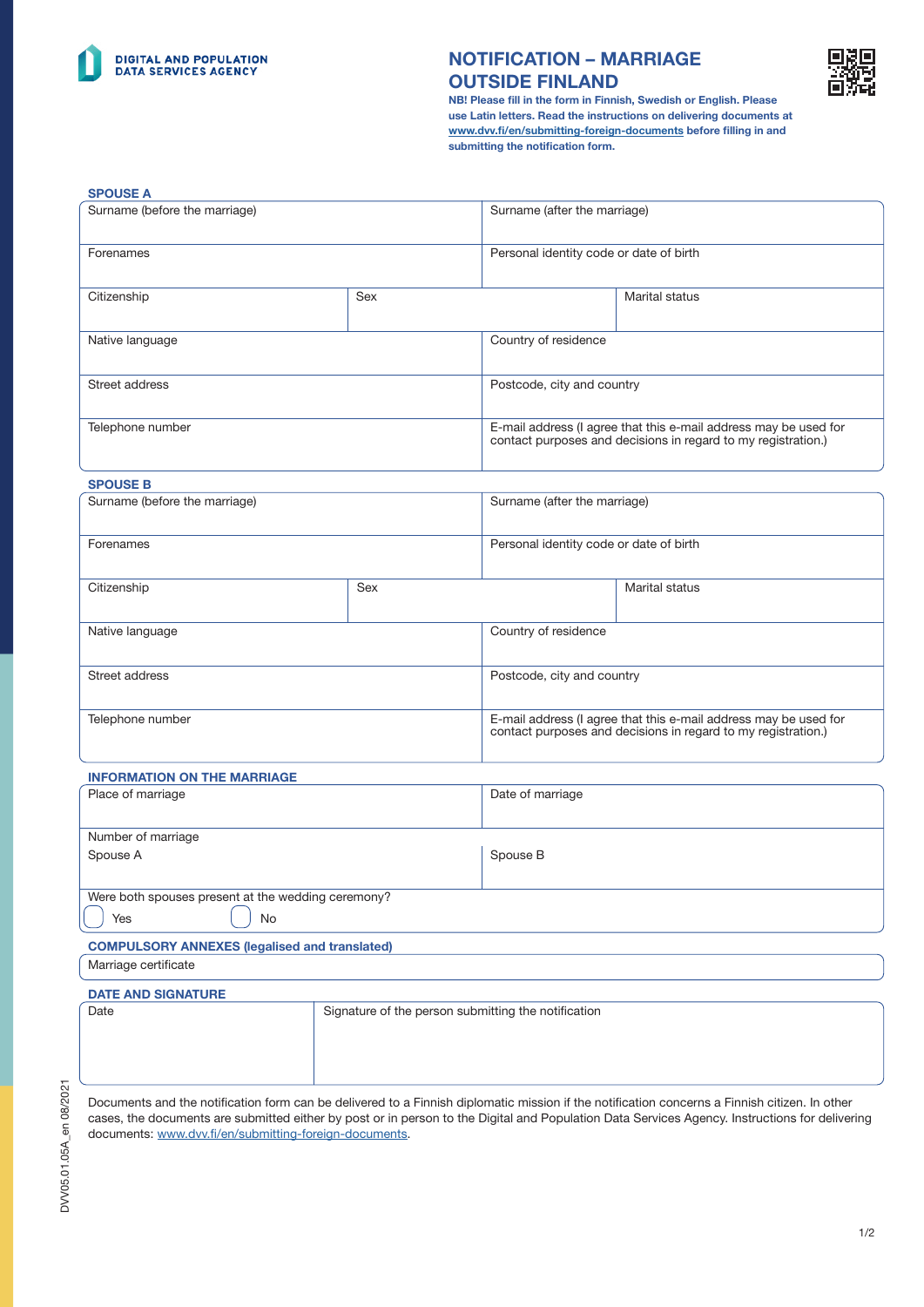

# NOTIFICATION – MARRIAGE OUTSIDE FINLAND



NB! Please fill in the form in Finnish, Swedish or English. Please use Latin letters. Read the instructions on delivering documents at [www.dvv.fi/en/submitting-foreign-documents](http://www.dvv.fi/en/submitting-foreign-documents) before filling in and submitting the notification form.

| <b>SPOUSE A</b>               |     |                                         |                                                                                                                                   |
|-------------------------------|-----|-----------------------------------------|-----------------------------------------------------------------------------------------------------------------------------------|
| Surname (before the marriage) |     | Surname (after the marriage)            |                                                                                                                                   |
| Forenames                     |     | Personal identity code or date of birth |                                                                                                                                   |
| Citizenship                   | Sex |                                         | Marital status                                                                                                                    |
| Native language               |     | Country of residence                    |                                                                                                                                   |
| Street address                |     | Postcode, city and country              |                                                                                                                                   |
| Telephone number              |     |                                         | E-mail address (I agree that this e-mail address may be used for<br>contact purposes and decisions in regard to my registration.) |

#### SPOUSE B

| Surname (before the marriage) |     | Surname (after the marriage)                                                                                                      |  |
|-------------------------------|-----|-----------------------------------------------------------------------------------------------------------------------------------|--|
| Forenames                     |     | Personal identity code or date of birth                                                                                           |  |
| Citizenship                   | Sex | Marital status                                                                                                                    |  |
| Native language               |     | Country of residence                                                                                                              |  |
| Street address                |     | Postcode, city and country                                                                                                        |  |
| Telephone number              |     | E-mail address (I agree that this e-mail address may be used for<br>contact purposes and decisions in regard to my registration.) |  |

### INFORMATION ON THE MARRIAGE

| Place of marriage                                  |    | Date of marriage |  |  |
|----------------------------------------------------|----|------------------|--|--|
|                                                    |    |                  |  |  |
| Number of marriage                                 |    |                  |  |  |
| Spouse A                                           |    | Spouse B         |  |  |
|                                                    |    |                  |  |  |
| Were both spouses present at the wedding ceremony? |    |                  |  |  |
| Yes                                                | No |                  |  |  |
|                                                    |    |                  |  |  |

# COMPULSORY ANNEXES (legalised and translated)

Marriage certificate

### DATE AND SIGNATURE Date **Signature of the person submitting the notification**

Documents and the notification form can be delivered to a Finnish diplomatic mission if the notification concerns a Finnish citizen. In other cases, the documents are submitted either by post or in person to the Digital and Population Data Services Agency. Instructions for delivering documents: [www.dvv.fi/en/submitting-foreign-documents.](http://www.dvv.fi/en/submitting-foreign-documents)